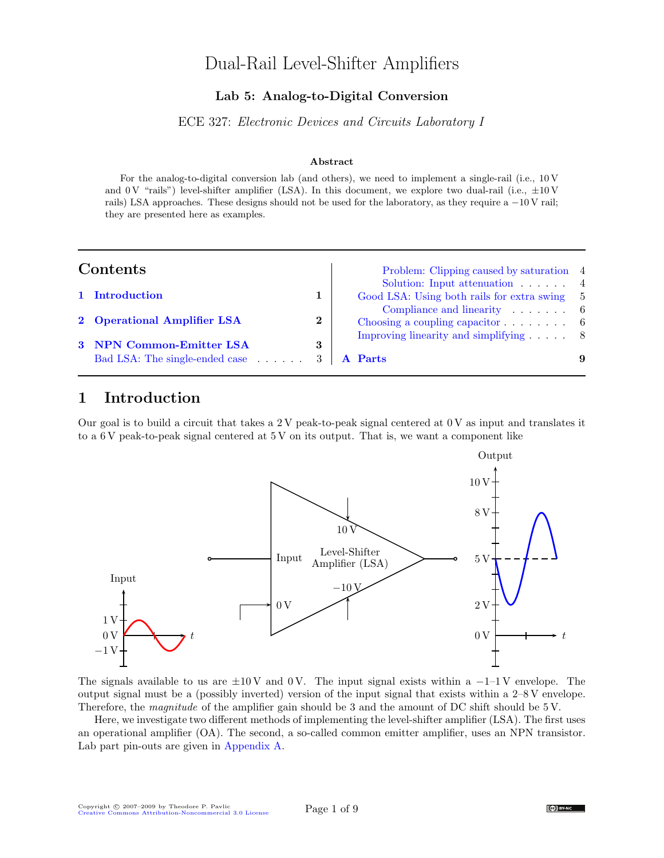# Dual-Rail Level-Shifter Amplifiers

### Lab 5: Analog-to-Digital Conversion

ECE 327: Electronic Devices and Circuits Laboratory I

### Abstract

For the analog-to-digital conversion lab (and others), we need to implement a single-rail (i.e., 10 V and 0 V "rails") level-shifter amplifier (LSA). In this document, we explore two dual-rail (i.e.,  $\pm 10$  V rails) LSA approaches. These designs should not be used for the laboratory, as they require a −10 V rail; they are presented here as examples.

| Contents |
|----------|
|          |

| Contents |                                                                                |              | Problem: Clipping caused by saturation 4<br>Solution: Input attenuation $\ldots$ .         |  |
|----------|--------------------------------------------------------------------------------|--------------|--------------------------------------------------------------------------------------------|--|
|          | 1 Introduction                                                                 |              | Good LSA: Using both rails for extra swing 5                                               |  |
|          | 2 Operational Amplifier LSA                                                    | $\mathbf{2}$ | Compliance and linearity $\ldots$ .<br>Choosing a coupling capacitor $\ldots$ . $\ldots$ 6 |  |
|          | 3 NPN Common-Emitter LSA<br>Bad LSA: The single-ended case $\ldots$ $\ldots$ 3 | 3            | Improving linearity and simplifying $\ldots$ 8<br>A Parts                                  |  |

## <span id="page-0-0"></span>1 Introduction

Our goal is to build a circuit that takes a 2 V peak-to-peak signal centered at 0 V as input and translates it to a 6 V peak-to-peak signal centered at 5 V on its output. That is, we want a component like



The signals available to us are  $\pm 10 \text{V}$  and 0 V. The input signal exists within a  $-1-1 \text{V}$  envelope. The output signal must be a (possibly inverted) version of the input signal that exists within a 2–8 V envelope. Therefore, the *magnitude* of the amplifier gain should be 3 and the amount of DC shift should be 5 V.

Here, we investigate two different methods of implementing the level-shifter amplifier (LSA). The first uses an operational amplifier (OA). The second, a so-called common emitter amplifier, uses an NPN transistor. Lab part pin-outs are given in [Appendix A.](#page-8-0)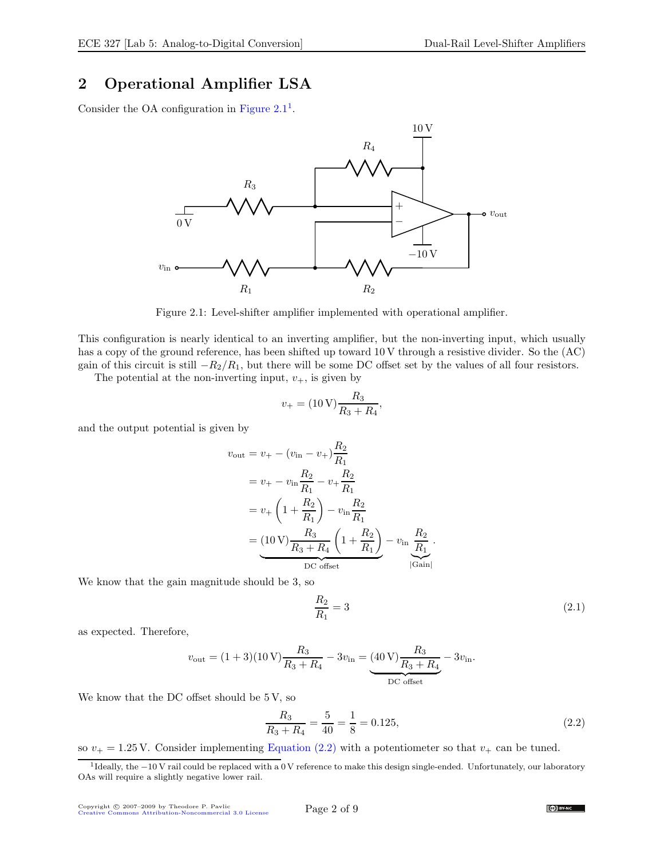## <span id="page-1-0"></span>2 Operational Amplifier LSA

Consider the OA configuration in Figure  $2.1<sup>1</sup>$  $2.1<sup>1</sup>$  $2.1<sup>1</sup>$ .



<span id="page-1-1"></span>Figure 2.1: Level-shifter amplifier implemented with operational amplifier.

This configuration is nearly identical to an inverting amplifier, but the non-inverting input, which usually has a copy of the ground reference, has been shifted up toward 10 V through a resistive divider. So the (AC) gain of this circuit is still  $-R_2/R_1$ , but there will be some DC offset set by the values of all four resistors.

The potential at the non-inverting input,  $v_{+}$ , is given by

$$
v_{+} = (10 \,\text{V}) \frac{R_3}{R_3 + R_4},
$$

and the output potential is given by

$$
v_{\text{out}} = v_{+} - (v_{\text{in}} - v_{+}) \frac{R_{2}}{R_{1}}
$$
  
=  $v_{+} - v_{\text{in}} \frac{R_{2}}{R_{1}} - v_{+} \frac{R_{2}}{R_{1}}$   
=  $v_{+} \left( 1 + \frac{R_{2}}{R_{1}} \right) - v_{\text{in}} \frac{R_{2}}{R_{1}}$   
=  $\underbrace{(10 \text{ V}) \frac{R_{3}}{R_{3} + R_{4}} \left( 1 + \frac{R_{2}}{R_{1}} \right)}_{\text{DC offset}} - v_{\text{in}} \frac{R_{2}}{R_{1}}$ .

We know that the gain magnitude should be 3, so

$$
\frac{R_2}{R_1} = 3\tag{2.1}
$$

as expected. Therefore,

$$
v_{\rm out} = (1+3)(10\,\text{V})\frac{R_3}{R_3+R_4} - 3v_{\rm in} = \underbrace{(40\,\text{V})\frac{R_3}{R_3+R_4}}_{\rm DC\ offset} - 3v_{\rm in}.
$$

We know that the DC offset should be 5 V, so

<span id="page-1-3"></span>
$$
\frac{R_3}{R_3 + R_4} = \frac{5}{40} = \frac{1}{8} = 0.125,\tag{2.2}
$$

so  $v_{+} = 1.25$  V. Consider implementing [Equation \(2.2\)](#page-1-3) with a potentiometer so that  $v_{+}$  can be tuned.

<span id="page-1-2"></span><sup>&</sup>lt;sup>1</sup>Ideally, the −10 V rail could be replaced with a 0 V reference to make this design single-ended. Unfortunately, our laboratory OAs will require a slightly negative lower rail.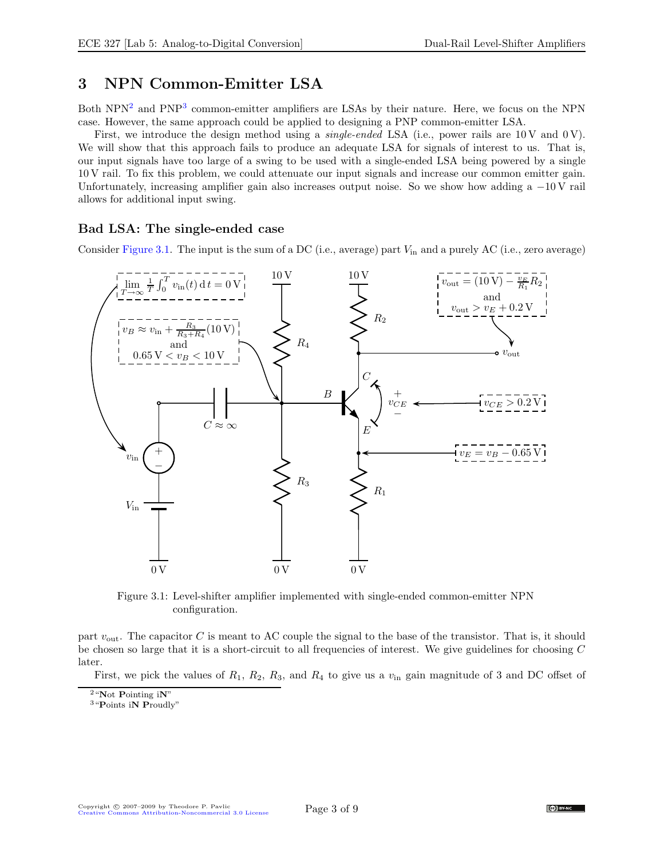## <span id="page-2-0"></span>3 NPN Common-Emitter LSA

Both NPN<sup>[2](#page-2-2)</sup> and PNP<sup>[3](#page-2-3)</sup> common-emitter amplifiers are LSAs by their nature. Here, we focus on the NPN case. However, the same approach could be applied to designing a PNP common-emitter LSA.

First, we introduce the design method using a *single-ended* LSA (i.e., power rails are  $10 \text{V}$  and  $0 \text{V}$ ). We will show that this approach fails to produce an adequate LSA for signals of interest to us. That is, our input signals have too large of a swing to be used with a single-ended LSA being powered by a single 10 V rail. To fix this problem, we could attenuate our input signals and increase our common emitter gain. Unfortunately, increasing amplifier gain also increases output noise. So we show how adding a  $-10$  V rail allows for additional input swing.

### <span id="page-2-1"></span>Bad LSA: The single-ended case

Consider [Figure 3.1.](#page-2-4) The input is the sum of a DC (i.e., average) part  $V_{\text{in}}$  and a purely AC (i.e., zero average)



<span id="page-2-4"></span>Figure 3.1: Level-shifter amplifier implemented with single-ended common-emitter NPN configuration.

part  $v_{\text{out}}$ . The capacitor C is meant to AC couple the signal to the base of the transistor. That is, it should be chosen so large that it is a short-circuit to all frequencies of interest. We give guidelines for choosing C later.

First, we pick the values of  $R_1$ ,  $R_2$ ,  $R_3$ , and  $R_4$  to give us a  $v_{\rm in}$  gain magnitude of 3 and DC offset of

 $2 \text{``Not}$  Pointing iN"

<span id="page-2-3"></span><span id="page-2-2"></span><sup>3</sup>"Points iN Proudly"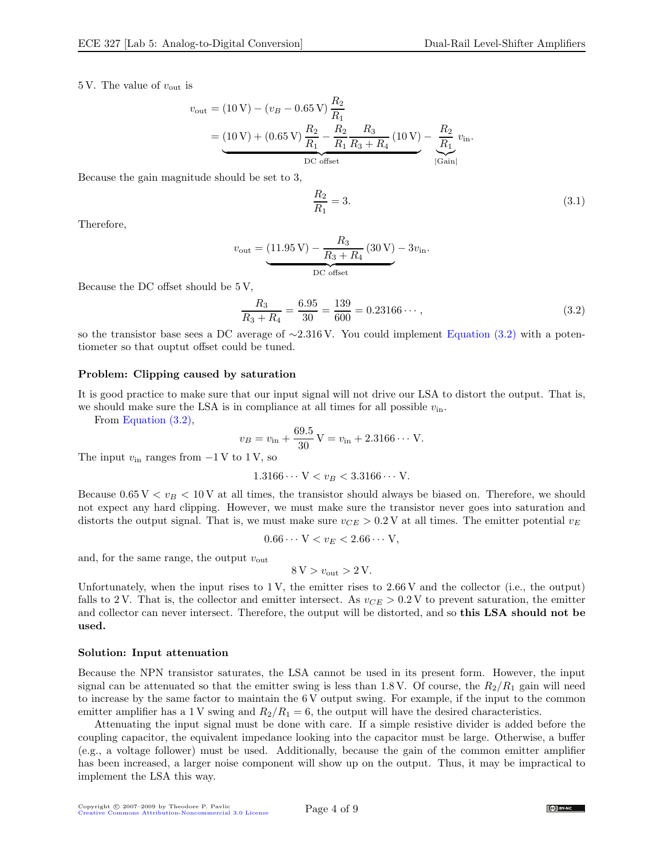5 V. The value of  $v_{\text{out}}$  is

$$
v_{\text{out}} = (10 \text{ V}) - (v_B - 0.65 \text{ V}) \frac{R_2}{R_1}
$$
  
= 
$$
\underbrace{(10 \text{ V}) + (0.65 \text{ V}) \frac{R_2}{R_1} - \frac{R_2}{R_1} \frac{R_3}{R_3 + R_4}}_{\text{DC offset}} (10 \text{ V}) - \underbrace{\frac{R_2}{R_1}}_{|\text{Gain}|} v_{\text{in}}.
$$

Because the gain magnitude should be set to 3,

 $R_{2}$  $R_1$  $= 3.$  (3.1)

Therefore,

$$
v_{\text{out}} = \underbrace{(11.95 \text{ V}) - \frac{R_3}{R_3 + R_4} (30 \text{ V}) - 3v_{\text{in}}}{\text{DC offset}}
$$

Because the DC offset should be 5 V,

<span id="page-3-2"></span>
$$
\frac{R_3}{R_3 + R_4} = \frac{6.95}{30} = \frac{139}{600} = 0.23166\cdots,
$$
\n(3.2)

so the transistor base sees a DC average of ∼2.316 V. You could implement [Equation \(3.2\)](#page-3-2) with a potentiometer so that ouptut offset could be tuned.

#### <span id="page-3-0"></span>Problem: Clipping caused by saturation

It is good practice to make sure that our input signal will not drive our LSA to distort the output. That is, we should make sure the LSA is in compliance at all times for all possible  $v_{\text{in}}$ .

From [Equation \(3.2\),](#page-3-2)

$$
v_B = v_{\text{in}} + \frac{69.5}{30} \text{ V} = v_{\text{in}} + 2.3166 \cdots \text{ V}.
$$

The input  $v_{\text{in}}$  ranges from  $-1$  V to 1 V, so

$$
1.3166\cdots V < v_B < 3.3166\cdots V.
$$

Because  $0.65 V < v_B < 10 V$  at all times, the transistor should always be biased on. Therefore, we should not expect any hard clipping. However, we must make sure the transistor never goes into saturation and distorts the output signal. That is, we must make sure  $v_{CE} > 0.2$  V at all times. The emitter potential  $v_E$ 

$$
0.66\cdots V < v_E < 2.66\cdots V,
$$

and, for the same range, the output  $v_{\text{out}}$ 

$$
8\,\mathrm{V} > v_{\mathrm{out}} > 2\,\mathrm{V}.
$$

Unfortunately, when the input rises to  $1 \text{V}$ , the emitter rises to  $2.66 \text{V}$  and the collector (i.e., the output) falls to 2 V. That is, the collector and emitter intersect. As  $v_{CE} > 0.2$  V to prevent saturation, the emitter and collector can never intersect. Therefore, the output will be distorted, and so this LSA should not be used.

#### <span id="page-3-1"></span>Solution: Input attenuation

Because the NPN transistor saturates, the LSA cannot be used in its present form. However, the input signal can be attenuated so that the emitter swing is less than 1.8 V. Of course, the  $R_2/R_1$  gain will need to increase by the same factor to maintain the 6 V output swing. For example, if the input to the common emitter amplifier has a 1 V swing and  $R_2/R_1 = 6$ , the output will have the desired characteristics.

Attenuating the input signal must be done with care. If a simple resistive divider is added before the coupling capacitor, the equivalent impedance looking into the capacitor must be large. Otherwise, a buffer (e.g., a voltage follower) must be used. Additionally, because the gain of the common emitter amplifier has been increased, a larger noise component will show up on the output. Thus, it may be impractical to implement the LSA this way.

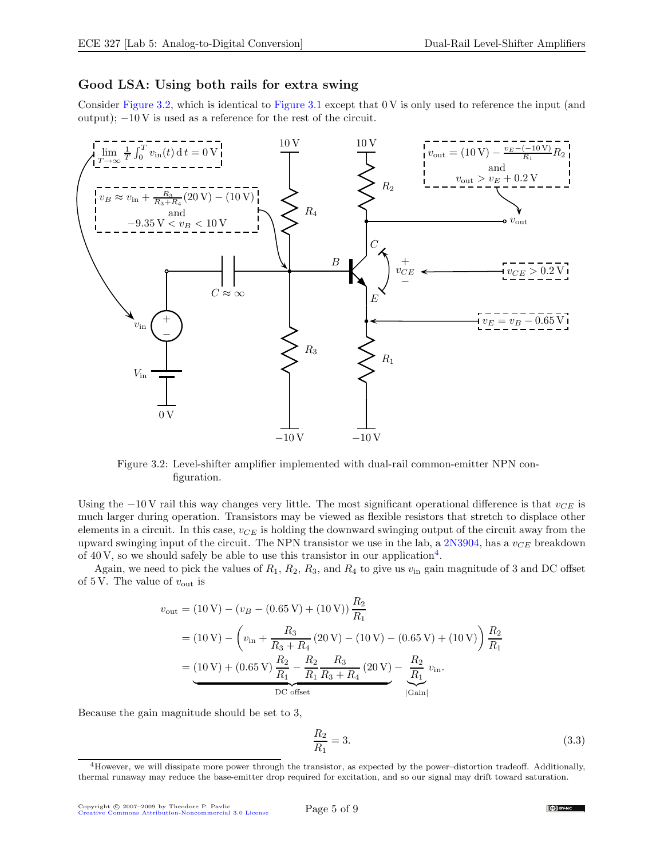### <span id="page-4-0"></span>Good LSA: Using both rails for extra swing

Consider [Figure 3.2,](#page-4-1) which is identical to [Figure 3.1](#page-2-4) except that 0 V is only used to reference the input (and output);  $-10V$  is used as a reference for the rest of the circuit.



<span id="page-4-1"></span>Figure 3.2: Level-shifter amplifier implemented with dual-rail common-emitter NPN configuration.

Using the −10 V rail this way changes very little. The most significant operational difference is that  $v_{CE}$  is much larger during operation. Transistors may be viewed as flexible resistors that stretch to displace other elements in a circuit. In this case,  $v_{CE}$  is holding the downward swinging output of the circuit away from the upward swinging input of the circuit. The NPN transistor we use in the lab, a [2N3904,](http://www.fairchildsemi.com/ds/2N/2N3904.pdf) has a  $v_{CE}$  breakdown of [4](#page-4-2)0 V, so we should safely be able to use this transistor in our application<sup>4</sup>.

Again, we need to pick the values of  $R_1$ ,  $R_2$ ,  $R_3$ , and  $R_4$  to give us  $v_{\text{in}}$  gain magnitude of 3 and DC offset of 5 V. The value of  $v_{\text{out}}$  is

$$
v_{\text{out}} = (10 \text{ V}) - (v_B - (0.65 \text{ V}) + (10 \text{ V})) \frac{R_2}{R_1}
$$
  
=  $(10 \text{ V}) - (v_{\text{in}} + \frac{R_3}{R_3 + R_4} (20 \text{ V}) - (10 \text{ V}) - (0.65 \text{ V}) + (10 \text{ V})) \frac{R_2}{R_1}$   
=  $(10 \text{ V}) + (0.65 \text{ V}) \frac{R_2}{R_1} - \frac{R_2}{R_1} \frac{R_3}{R_3 + R_4} (20 \text{ V}) - \frac{R_2}{R_1} v_{\text{in}}.$   
DC offset

Because the gain magnitude should be set to 3,

$$
\frac{R_2}{R_1} = 3.\t(3.3)
$$

<span id="page-4-2"></span><sup>4</sup>However, we will dissipate more power through the transistor, as expected by the power–distortion tradeoff. Additionally, thermal runaway may reduce the base-emitter drop required for excitation, and so our signal may drift toward saturation.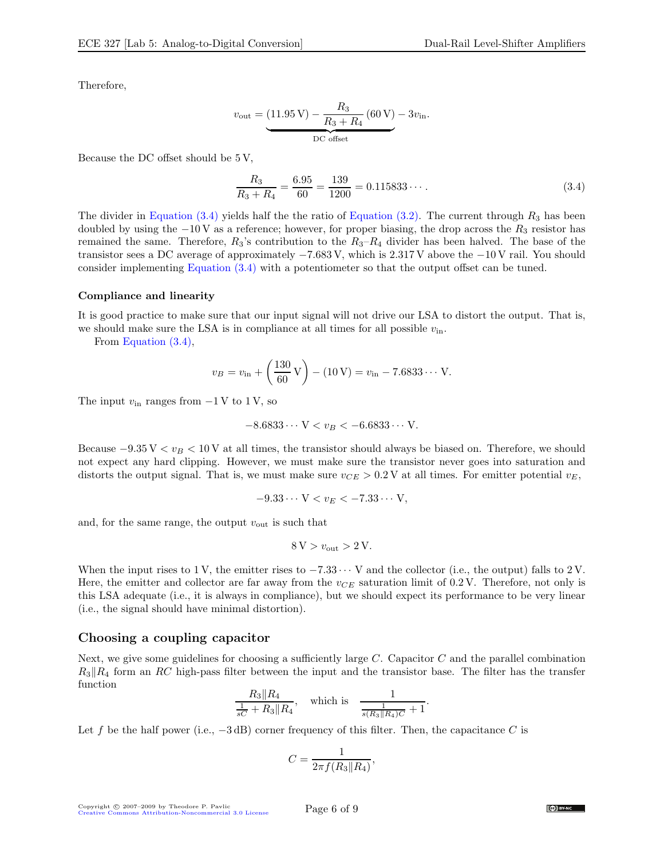Therefore,

$$
v_{\text{out}} = \underbrace{(11.95 \text{ V}) - \frac{R_3}{R_3 + R_4} (60 \text{ V}) - 3v_{\text{in}}} - \underbrace{11.95 \text{ V} - 3v_{\text{in}}}{\text{DC offset}}
$$

Because the DC offset should be 5 V,

<span id="page-5-2"></span>
$$
\frac{R_3}{R_3 + R_4} = \frac{6.95}{60} = \frac{139}{1200} = 0.115833\cdots
$$
 (3.4)

The divider in [Equation \(3.4\)](#page-5-2) yields half the the ratio of [Equation \(3.2\).](#page-3-2) The current through  $R_3$  has been doubled by using the  $-10V$  as a reference; however, for proper biasing, the drop across the  $R_3$  resistor has remained the same. Therefore,  $R_3$ 's contribution to the  $R_3-R_4$  divider has been halved. The base of the transistor sees a DC average of approximately −7.683 V, which is 2.317 V above the −10 V rail. You should consider implementing [Equation \(3.4\)](#page-5-2) with a potentiometer so that the output offset can be tuned.

#### <span id="page-5-0"></span>Compliance and linearity

It is good practice to make sure that our input signal will not drive our LSA to distort the output. That is, we should make sure the LSA is in compliance at all times for all possible  $v_{\text{in}}$ .

From [Equation \(3.4\),](#page-5-2)

$$
v_B = v_{\text{in}} + \left(\frac{130}{60} \text{ V}\right) - (10 \text{ V}) = v_{\text{in}} - 7.6833 \cdots \text{ V}.
$$

The input  $v_{\text{in}}$  ranges from  $-1$  V to 1 V, so

$$
-8.6833\dots V < v_B < -6.6833\dots V.
$$

Because  $-9.35$  V  $\lt v_B \lt 10$  V at all times, the transistor should always be biased on. Therefore, we should not expect any hard clipping. However, we must make sure the transistor never goes into saturation and distorts the output signal. That is, we must make sure  $v_{CE} > 0.2$  V at all times. For emitter potential  $v_E$ ,

$$
-9.33\cdots V < v_E < -7.33\cdots V,
$$

and, for the same range, the output  $v_{\text{out}}$  is such that

$$
8\,\mathrm{V} > v_{\mathrm{out}} > 2\,\mathrm{V}.
$$

When the input rises to 1 V, the emitter rises to  $-7.33 \cdots$  V and the collector (i.e., the output) falls to 2 V. Here, the emitter and collector are far away from the  $v_{CE}$  saturation limit of 0.2 V. Therefore, not only is this LSA adequate (i.e., it is always in compliance), but we should expect its performance to be very linear (i.e., the signal should have minimal distortion).

#### <span id="page-5-1"></span>Choosing a coupling capacitor

Next, we give some guidelines for choosing a sufficiently large  $C$ . Capacitor  $C$  and the parallel combination  $R_3\|R_4$  form an RC high-pass filter between the input and the transistor base. The filter has the transfer function

$$
\frac{R_3\|R_4}{\frac{1}{sC} + R_3\|R_4}, \quad \text{which is} \quad \frac{1}{\frac{1}{s(R_3\|R_4)C} + 1}.
$$

Let f be the half power (i.e.,  $-3$  dB) corner frequency of this filter. Then, the capacitance C is

$$
C = \frac{1}{2\pi f(R_3||R_4)},
$$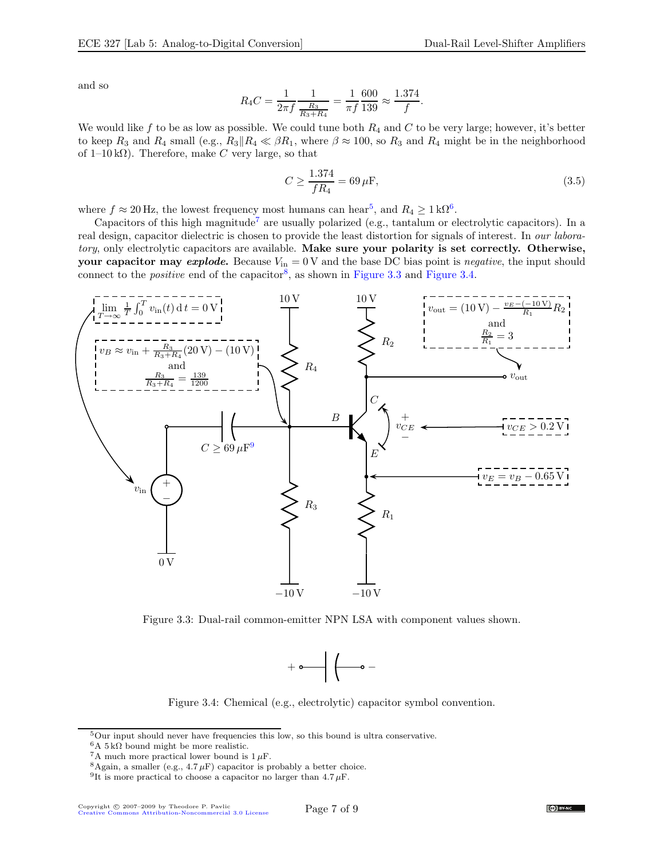and so

$$
R_4C = \frac{1}{2\pi f} \frac{1}{\frac{R_3}{R_3 + R_4}} = \frac{1}{\pi f} \frac{600}{139} \approx \frac{1.374}{f}.
$$

We would like f to be as low as possible. We could tune both  $R_4$  and C to be very large; however, it's better to keep  $R_3$  and  $R_4$  small (e.g.,  $R_3||R_4 \ll \beta R_1$ , where  $\beta \approx 100$ , so  $R_3$  and  $R_4$  might be in the neighborhood of  $1-10 \text{ k}\Omega$ ). Therefore, make C very large, so that

$$
C \ge \frac{1.374}{fR_4} = 69 \,\mu\text{F},\tag{3.5}
$$

where  $f \approx 20$  Hz, the lowest frequency most humans can hear<sup>[5](#page-6-0)</sup>, and  $R_4 \geq 1 \text{ k}\Omega^6$  $R_4 \geq 1 \text{ k}\Omega^6$ .

Capacitors of this high magnitude<sup>[7](#page-6-2)</sup> are usually polarized (e.g., tantalum or electrolytic capacitors). In a real design, capacitor dielectric is chosen to provide the least distortion for signals of interest. In our laboratory, only electrolytic capacitors are available. Make sure your polarity is set correctly. Otherwise, your capacitor may explode. Because  $V_{\text{in}} = 0$  V and the base DC bias point is negative, the input should connect to the *positive* end of the capacitor<sup>[8](#page-6-3)</sup>, as shown in [Figure 3.3](#page-6-4) and [Figure 3.4.](#page-6-5)



<span id="page-6-4"></span>Figure 3.3: Dual-rail common-emitter NPN LSA with component values shown.



<span id="page-6-5"></span>Figure 3.4: Chemical (e.g., electrolytic) capacitor symbol convention.

 $5$ Our input should never have frequencies this low, so this bound is ultra conservative.

<span id="page-6-0"></span> ${}^{6}A$  5 k $\Omega$  bound might be more realistic.

<span id="page-6-1"></span> ${}^{7}$ A much more practical lower bound is  $1 \mu$ F.

<span id="page-6-2"></span> $8$ Again, a smaller (e.g.,  $4.7 \mu$ F) capacitor is probably a better choice.

<span id="page-6-6"></span><span id="page-6-3"></span><sup>&</sup>lt;sup>9</sup>It is more practical to choose a capacitor no larger than 4.7  $\mu$ F.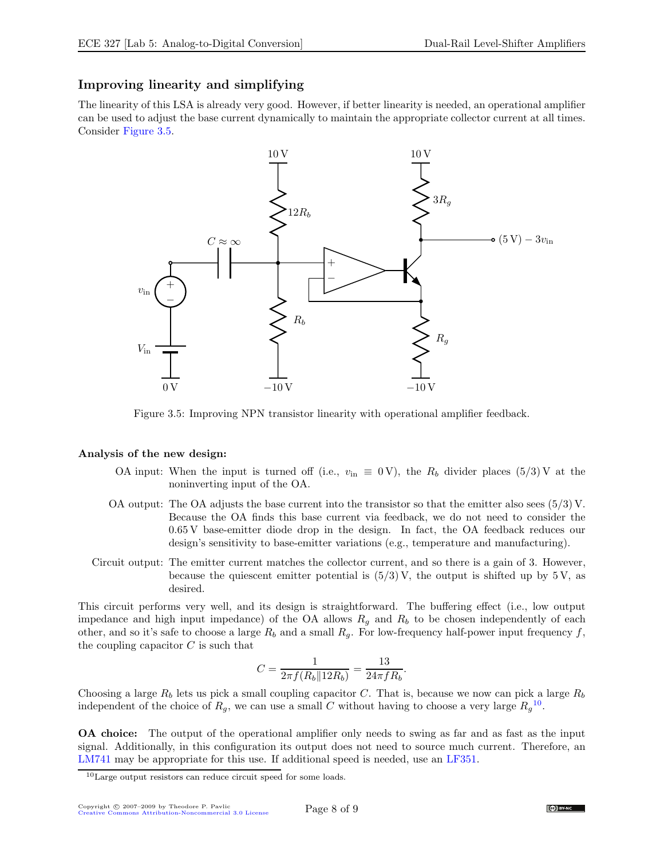## <span id="page-7-0"></span>Improving linearity and simplifying

The linearity of this LSA is already very good. However, if better linearity is needed, an operational amplifier can be used to adjust the base current dynamically to maintain the appropriate collector current at all times. Consider [Figure 3.5.](#page-7-1)



<span id="page-7-1"></span>Figure 3.5: Improving NPN transistor linearity with operational amplifier feedback.

#### Analysis of the new design:

- OA input: When the input is turned off (i.e.,  $v_{\text{in}} \equiv 0 \text{ V}$ ), the  $R_b$  divider places (5/3) V at the noninverting input of the OA.
- OA output: The OA adjusts the base current into the transistor so that the emitter also sees  $(5/3)$  V. Because the OA finds this base current via feedback, we do not need to consider the 0.65 V base-emitter diode drop in the design. In fact, the OA feedback reduces our design's sensitivity to base-emitter variations (e.g., temperature and manufacturing).
- Circuit output: The emitter current matches the collector current, and so there is a gain of 3. However, because the quiescent emitter potential is  $(5/3)$  V, the output is shifted up by 5 V, as desired.

This circuit performs very well, and its design is straightforward. The buffering effect (i.e., low output impedance and high input impedance) of the OA allows  $R<sub>g</sub>$  and  $R<sub>b</sub>$  to be chosen independently of each other, and so it's safe to choose a large  $R_b$  and a small  $R_q$ . For low-frequency half-power input frequency f, the coupling capacitor  $C$  is such that

$$
C = \frac{1}{2\pi f(R_b||12R_b)} = \frac{13}{24\pi fR_b}.
$$

Choosing a large  $R_b$  lets us pick a small coupling capacitor C. That is, because we now can pick a large  $R_b$ independent of the choice of  $R_g$ , we can use a small C without having to choose a very large  $R_g^{10}$  $R_g^{10}$  $R_g^{10}$ .

OA choice: The output of the operational amplifier only needs to swing as far and as fast as the input signal. Additionally, in this configuration its output does not need to source much current. Therefore, an [LM741](http://www.national.com/pf/LM/LM741.html) may be appropriate for this use. If additional speed is needed, use an [LF351.](http://www.national.com/pf/LF/LF351.html)

<span id="page-7-2"></span><sup>10</sup>Large output resistors can reduce circuit speed for some loads.